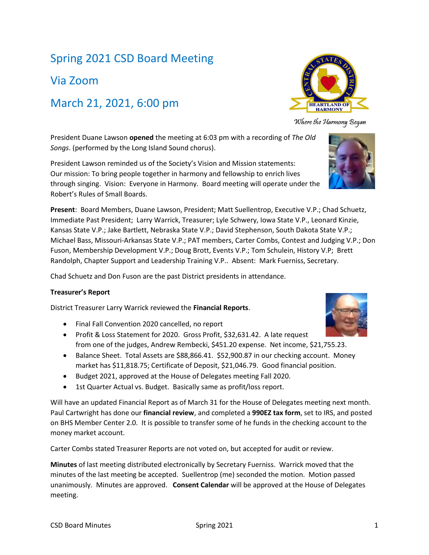# Spring 2021 CSD Board Meeting

Via Zoom

# March 21, 2021, 6:00 pm

President Duane Lawson **opened** the meeting at 6:03 pm with a recording of *The Old Songs*. (performed by the Long Island Sound chorus).

President Lawson reminded us of the Society's Vision and Mission statements: Our mission: To bring people together in harmony and fellowship to enrich lives through singing. Vision: Everyone in Harmony. Board meeting will operate under the Robert's Rules of Small Boards.

**Present**: Board Members, Duane Lawson, President; Matt Suellentrop, Executive V.P.; Chad Schuetz, Immediate Past President; Larry Warrick, Treasurer; Lyle Schwery, Iowa State V.P., Leonard Kinzie, Kansas State V.P.; Jake Bartlett, Nebraska State V.P.; David Stephenson, South Dakota State V.P.; Michael Bass, Missouri-Arkansas State V.P.; PAT members, Carter Combs, Contest and Judging V.P.; Don Fuson, Membership Development V.P.; Doug Brott, Events V.P.; Tom Schulein, History V.P; Brett Randolph, Chapter Support and Leadership Training V.P.. Absent: Mark Fuerniss, Secretary.

Chad Schuetz and Don Fuson are the past District presidents in attendance.

### **Treasurer's Report**

District Treasurer Larry Warrick reviewed the **Financial Reports**.

- Final Fall Convention 2020 cancelled, no report
- Profit & Loss Statement for 2020. Gross Profit, \$32,631.42. A late request from one of the judges, Andrew Rembecki, \$451.20 expense. Net income, \$21,755.23.
- Balance Sheet. Total Assets are \$88,866.41. \$52,900.87 in our checking account. Money market has \$11,818.75; Certificate of Deposit, \$21,046.79. Good financial position.
- Budget 2021, approved at the House of Delegates meeting Fall 2020.
- 1st Quarter Actual vs. Budget. Basically same as profit/loss report.

Will have an updated Financial Report as of March 31 for the House of Delegates meeting next month. Paul Cartwright has done our **financial review**, and completed a **990EZ tax form**, set to IRS, and posted on BHS Member Center 2.0. It is possible to transfer some of he funds in the checking account to the money market account.

Carter Combs stated Treasurer Reports are not voted on, but accepted for audit or review.

**Minutes** of last meeting distributed electronically by Secretary Fuerniss. Warrick moved that the minutes of the last meeting be accepted. Suellentrop (me) seconded the motion. Motion passed unanimously. Minutes are approved. **Consent Calendar** will be approved at the House of Delegates meeting.



Where the Harmony Began

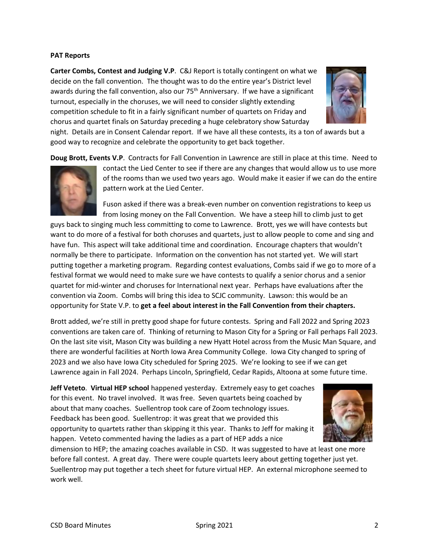### **PAT Reports**

**Carter Combs, Contest and Judging V.P**. C&J Report is totally contingent on what we decide on the fall convention. The thought was to do the entire year's District level awards during the fall convention, also our 75<sup>th</sup> Anniversary. If we have a significant turnout, especially in the choruses, we will need to consider slightly extending competition schedule to fit in a fairly significant number of quartets on Friday and chorus and quartet finals on Saturday preceding a huge celebratory show Saturday



night. Details are in Consent Calendar report. If we have all these contests, its a ton of awards but a good way to recognize and celebrate the opportunity to get back together.

**Doug Brott, Events V.P**. Contracts for Fall Convention in Lawrence are still in place at this time. Need to



contact the Lied Center to see if there are any changes that would allow us to use more of the rooms than we used two years ago. Would make it easier if we can do the entire pattern work at the Lied Center.

Fuson asked if there was a break-even number on convention registrations to keep us from losing money on the Fall Convention. We have a steep hill to climb just to get

guys back to singing much less committing to come to Lawrence. Brott, yes we will have contests but want to do more of a festival for both choruses and quartets, just to allow people to come and sing and have fun. This aspect will take additional time and coordination. Encourage chapters that wouldn't normally be there to participate. Information on the convention has not started yet. We will start putting together a marketing program. Regarding contest evaluations, Combs said if we go to more of a festival format we would need to make sure we have contests to qualify a senior chorus and a senior quartet for mid-winter and choruses for International next year. Perhaps have evaluations after the convention via Zoom. Combs will bring this idea to SCJC community. Lawson: this would be an opportunity for State V.P. to **get a feel about interest in the Fall Convention from their chapters.**

Brott added, we're still in pretty good shape for future contests. Spring and Fall 2022 and Spring 2023 conventions are taken care of. Thinking of returning to Mason City for a Spring or Fall perhaps Fall 2023. On the last site visit, Mason City was building a new Hyatt Hotel across from the Music Man Square, and there are wonderful facilities at North Iowa Area Community College. Iowa City changed to spring of 2023 and we also have Iowa City scheduled for Spring 2025. We're looking to see if we can get Lawrence again in Fall 2024. Perhaps Lincoln, Springfield, Cedar Rapids, Altoona at some future time.

**Jeff Veteto**. **Virtual HEP school** happened yesterday. Extremely easy to get coaches for this event. No travel involved. It was free. Seven quartets being coached by about that many coaches. Suellentrop took care of Zoom technology issues. Feedback has been good. Suellentrop: it was great that we provided this opportunity to quartets rather than skipping it this year. Thanks to Jeff for making it happen. Veteto commented having the ladies as a part of HEP adds a nice



dimension to HEP; the amazing coaches available in CSD. It was suggested to have at least one more before fall contest. A great day. There were couple quartets leery about getting together just yet. Suellentrop may put together a tech sheet for future virtual HEP. An external microphone seemed to work well.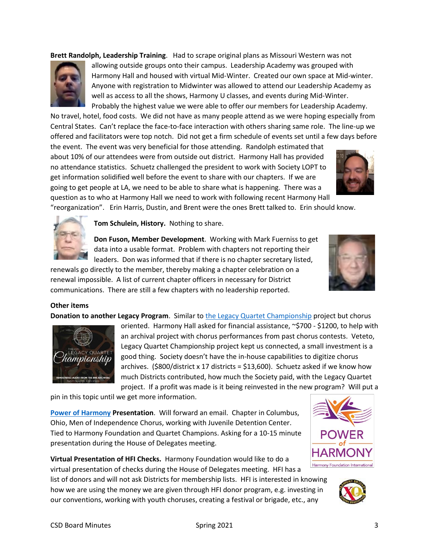**Brett Randolph, Leadership Training**. Had to scrape original plans as Missouri Western was not



allowing outside groups onto their campus. Leadership Academy was grouped with Harmony Hall and housed with virtual Mid-Winter. Created our own space at Mid-winter. Anyone with registration to Midwinter was allowed to attend our Leadership Academy as well as access to all the shows, Harmony U classes, and events during Mid-Winter. Probably the highest value we were able to offer our members for Leadership Academy.

No travel, hotel, food costs. We did not have as many people attend as we were hoping especially from Central States. Can't replace the face-to-face interaction with others sharing same role. The line-up we offered and facilitators were top notch. Did not get a firm schedule of events set until a few days before

the event. The event was very beneficial for those attending. Randolph estimated that about 10% of our attendees were from outside out district. Harmony Hall has provided no attendance statistics. Schuetz challenged the president to work with Society LOPT to get information solidified well before the event to share with our chapters. If we are going to get people at LA, we need to be able to share what is happening. There was a question as to who at Harmony Hall we need to work with following recent Harmony Hall



"reorganization". Erin Harris, Dustin, and Brent were the ones Brett talked to. Erin should know.



**Tom Schulein, History.** Nothing to share.

**Don Fuson, Member Development**. Working with Mark Fuerniss to get data into a usable format. Problem with chapters not reporting their leaders. Don was informed that if there is no chapter secretary listed,

renewals go directly to the member, thereby making a chapter celebration on a renewal impossible. A list of current chapter officers in necessary for District communications. There are still a few chapters with no leadership reported.

### **Other items**

**Donation to another Legacy Program**. Similar to [the Legacy Quartet Championship](http://ow.ly/7Rgm50DdFGv) project but chorus



oriented. Harmony Hall asked for financial assistance, ~\$700 - \$1200, to help with an archival project with chorus performances from past chorus contests. Veteto, Legacy Quartet Championship project kept us connected, a small investment is a good thing. Society doesn't have the in-house capabilities to digitize chorus archives. (\$800/district x 17 districts = \$13,600). Schuetz asked if we know how much Districts contributed, how much the Society paid, with the Legacy Quartet project. If a profit was made is it being reinvested in the new program? Will put a

pin in this topic until we get more information.

**[Power of Harmony](https://www.harmonyfoundation.org/) Presentation**. Will forward an email. Chapter in Columbus, Ohio, Men of Independence Chorus, working with Juvenile Detention Center. Tied to Harmony Foundation and Quartet Champions. Asking for a 10-15 minute presentation during the House of Delegates meeting.

**Virtual Presentation of HFI Checks.** Harmony Foundation would like to do a virtual presentation of checks during the House of Delegates meeting. HFI has a

list of donors and will not ask Districts for membership lists. HFI is interested in knowing how we are using the money we are given through HFI donor program, e.g. investing in our conventions, working with youth choruses, creating a festival or brigade, etc., any

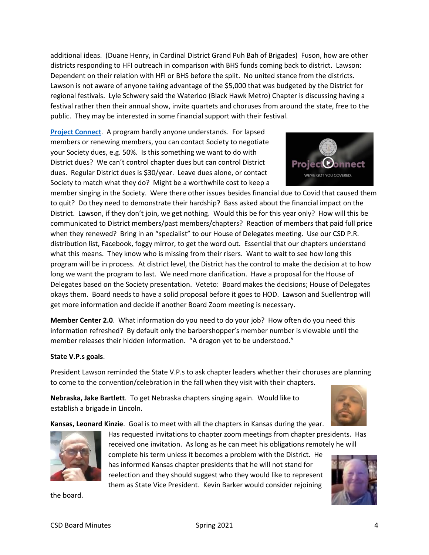additional ideas. (Duane Henry, in Cardinal District Grand Puh Bah of Brigades) Fuson, how are other districts responding to HFI outreach in comparison with BHS funds coming back to district. Lawson: Dependent on their relation with HFI or BHS before the split. No united stance from the districts. Lawson is not aware of anyone taking advantage of the \$5,000 that was budgeted by the District for regional festivals. Lyle Schwery said the Waterloo (Black Hawk Metro) Chapter is discussing having a festival rather then their annual show, invite quartets and choruses from around the state, free to the public. They may be interested in some financial support with their festival.

**[Project Connect](https://www.barbershop.org/landing-pages/project-connect-engage-new-members-online)**. A program hardly anyone understands. For lapsed members or renewing members, you can contact Society to negotiate your Society dues, e.g. 50%. Is this something we want to do with District dues? We can't control chapter dues but can control District dues. Regular District dues is \$30/year. Leave dues alone, or contact Society to match what they do? Might be a worthwhile cost to keep a

member singing in the Society. Were there other issues besides financial due to Covid that caused them to quit? Do they need to demonstrate their hardship? Bass asked about the financial impact on the District. Lawson, if they don't join, we get nothing. Would this be for this year only? How will this be communicated to District members/past members/chapters? Reaction of members that paid full price when they renewed? Bring in an "specialist" to our House of Delegates meeting. Use our CSD P.R. distribution list, Facebook, foggy mirror, to get the word out. Essential that our chapters understand what this means. They know who is missing from their risers. Want to wait to see how long this program will be in process. At district level, the District has the control to make the decision at to how long we want the program to last. We need more clarification. Have a proposal for the House of Delegates based on the Society presentation. Veteto: Board makes the decisions; House of Delegates okays them. Board needs to have a solid proposal before it goes to HOD. Lawson and Suellentrop will get more information and decide if another Board Zoom meeting is necessary.

**Member Center 2.0**. What information do you need to do your job? How often do you need this information refreshed? By default only the barbershopper's member number is viewable until the member releases their hidden information. "A dragon yet to be understood."

### **State V.P.s goals**.

President Lawson reminded the State V.P.s to ask chapter leaders whether their choruses are planning to come to the convention/celebration in the fall when they visit with their chapters.

**Nebraska, Jake Bartlett**. To get Nebraska chapters singing again. Would like to establish a brigade in Lincoln.

**Kansas, Leonard Kinzie**. Goal is to meet with all the chapters in Kansas during the year.



reelection and they should suggest who they would like to represent them as State Vice President. Kevin Barker would consider rejoining

the board.